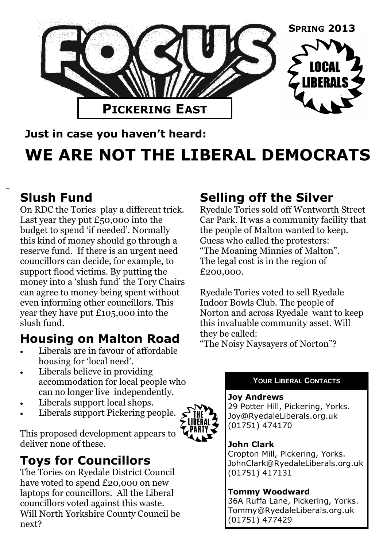

## **Just in case you haven't heard: WE ARE NOT THE LIBERAL DEMOCRATS**

### **Slush Fund**

On RDC the Tories play a different trick. Last year they put £50,000 into the budget to spend 'if needed'. Normally this kind of money should go through a reserve fund. If there is an urgent need councillors can decide, for example, to support flood victims. By putting the money into a 'slush fund' the Tory Chairs can agree to money being spent without even informing other councillors. This year they have put £105,000 into the slush fund.

## **Housing on Malton Road**

- Liberals are in favour of affordable housing for 'local need'.
- Liberals believe in providing accommodation for local people who can no longer live independently.
- Liberals support local shops.
- Liberals support Pickering people.

This proposed development appears to deliver none of these.

## **Toys for Councillors**

The Tories on Ryedale District Council have voted to spend £20,000 on new laptops for councillors. All the Liberal councillors voted against this waste. Will North Yorkshire County Council be next?

## **Selling off the Silver**

Ryedale Tories sold off Wentworth Street Car Park. It was a community facility that the people of Malton wanted to keep. Guess who called the protesters: "The Moaning Minnies of Malton". The legal cost is in the region of £200,000.

Ryedale Tories voted to sell Ryedale Indoor Bowls Club. The people of Norton and across Ryedale want to keep this invaluable community asset. Will they be called:

"The Noisy Naysayers of Norton"?

#### **YOUR LIBERAL CONTACTS**

#### **Joy Andrews**

29 Potter Hill, Pickering, Yorks. Joy@RyedaleLiberals.org.uk (01751) 474170

#### **John Clark**

Cropton Mill, Pickering, Yorks. JohnClark@RyedaleLiberals.org.uk (01751) 417131

#### **Tommy Woodward**

36A Ruffa Lane, Pickering, Yorks. Tommy@RyedaleLiberals.org.uk (01751) 477429